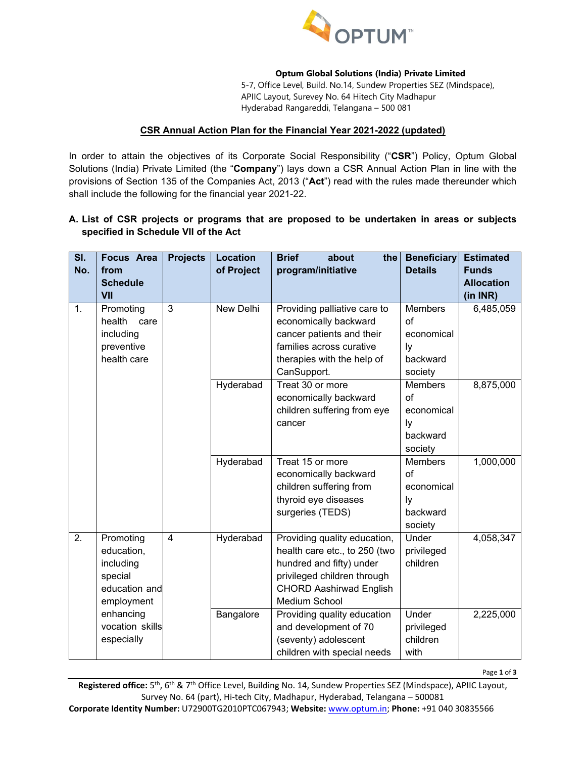

#### **Optum Global Solutions (India) Private Limited**

5-7, Office Level, Build. No.14, Sundew Properties SEZ (Mindspace), APIIC Layout, Surevey No. 64 Hitech City Madhapur Hyderabad Rangareddi, Telangana – 500 081

#### **CSR Annual Action Plan for the Financial Year 2021-2022 (updated)**

In order to attain the objectives of its Corporate Social Responsibility ("**CSR**") Policy, Optum Global Solutions (India) Private Limited (the "**Company**") lays down a CSR Annual Action Plan in line with the provisions of Section 135 of the Companies Act, 2013 ("**Act**") read with the rules made thereunder which shall include the following for the financial year 2021-22.

# **A. List of CSR projects or programs that are proposed to be undertaken in areas or subjects specified in Schedule VII of the Act**

| SI.<br>No. | <b>Focus Area</b><br>from<br><b>Schedule</b><br>VII                            | <b>Projects</b> | <b>Location</b><br>of Project | <b>Brief</b><br>about<br>the<br>program/initiative                                                                                                                          | <b>Beneficiary</b><br><b>Details</b>                                    | <b>Estimated</b><br><b>Funds</b><br><b>Allocation</b><br>(in INR) |
|------------|--------------------------------------------------------------------------------|-----------------|-------------------------------|-----------------------------------------------------------------------------------------------------------------------------------------------------------------------------|-------------------------------------------------------------------------|-------------------------------------------------------------------|
| 1.         | Promoting<br>health<br>care<br>including<br>preventive<br>health care          | $\overline{3}$  | <b>New Delhi</b>              | Providing palliative care to<br>economically backward<br>cancer patients and their<br>families across curative<br>therapies with the help of<br>CanSupport.                 | <b>Members</b><br>$\sigma$ f<br>economical<br>ly<br>backward<br>society | 6,485,059                                                         |
|            |                                                                                |                 | Hyderabad                     | Treat 30 or more<br>economically backward<br>children suffering from eye<br>cancer                                                                                          | Members<br>of<br>economical<br>ly<br>backward<br>society                | 8,875,000                                                         |
|            |                                                                                |                 | Hyderabad                     | Treat 15 or more<br>economically backward<br>children suffering from<br>thyroid eye diseases<br>surgeries (TEDS)                                                            | <b>Members</b><br>of<br>economical<br>Iy<br>backward<br>society         | 1,000,000                                                         |
| 2.         | Promoting<br>education,<br>including<br>special<br>education and<br>employment | $\overline{4}$  | Hyderabad                     | Providing quality education,<br>health care etc., to 250 (two<br>hundred and fifty) under<br>privileged children through<br><b>CHORD Aashirwad English</b><br>Medium School | Under<br>privileged<br>children                                         | 4,058,347                                                         |
|            | enhancing<br>vocation skills<br>especially                                     |                 | Bangalore                     | Providing quality education<br>and development of 70<br>(seventy) adolescent<br>children with special needs                                                                 | Under<br>privileged<br>children<br>with                                 | 2,225,000                                                         |

Page **1** of **3**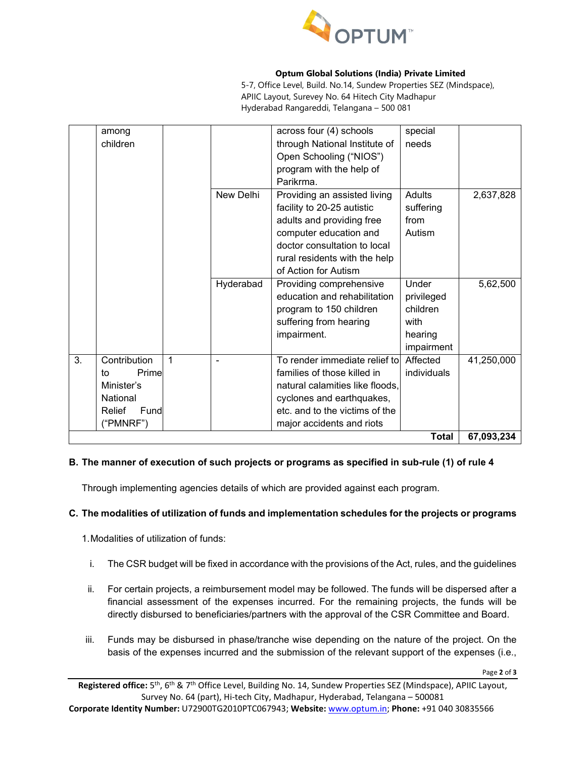

### **Optum Global Solutions (India) Private Limited**

5-7, Office Level, Build. No.14, Sundew Properties SEZ (Mindspace), APIIC Layout, Surevey No. 64 Hitech City Madhapur Hyderabad Rangareddi, Telangana – 500 081

| <b>Total</b>     |                   |             |           |                                                          |                  |            |
|------------------|-------------------|-------------|-----------|----------------------------------------------------------|------------------|------------|
|                  | ("PMNRF")         |             |           | major accidents and riots                                |                  |            |
|                  | Relief<br>Fund    |             |           | etc. and to the victims of the                           |                  |            |
|                  | National          |             |           | cyclones and earthquakes,                                |                  |            |
|                  | Minister's        |             |           | natural calamities like floods.                          |                  |            |
|                  | Prime<br>to       |             |           | families of those killed in                              | individuals      |            |
| $\overline{3}$ . | Contribution      | $\mathbf 1$ |           | To render immediate relief to                            | Affected         | 41,250,000 |
|                  |                   |             |           |                                                          | impairment       |            |
|                  |                   |             |           | impairment.                                              | hearing          |            |
|                  |                   |             |           | suffering from hearing                                   | with             |            |
|                  |                   |             |           | program to 150 children                                  | children         |            |
|                  |                   |             |           | education and rehabilitation                             | privileged       |            |
|                  |                   |             | Hyderabad | Providing comprehensive                                  | Under            | 5,62,500   |
|                  |                   |             |           | of Action for Autism                                     |                  |            |
|                  |                   |             |           | rural residents with the help                            |                  |            |
|                  |                   |             |           | doctor consultation to local                             |                  |            |
|                  |                   |             |           | computer education and                                   | Autism           |            |
|                  |                   |             |           | adults and providing free                                | from             |            |
|                  |                   |             |           | facility to 20-25 autistic                               | suffering        |            |
|                  |                   |             | New Delhi | Providing an assisted living                             | Adults           | 2,637,828  |
|                  |                   |             |           | Parikrma.                                                |                  |            |
|                  |                   |             |           | program with the help of                                 |                  |            |
|                  |                   |             |           | through National Institute of<br>Open Schooling ("NIOS") |                  |            |
|                  | among<br>children |             |           | across four (4) schools                                  | special<br>needs |            |
|                  |                   |             |           |                                                          |                  |            |

### **B. The manner of execution of such projects or programs as specified in sub-rule (1) of rule 4**

Through implementing agencies details of which are provided against each program.

# **C. The modalities of utilization of funds and implementation schedules for the projects or programs**

1.Modalities of utilization of funds:

- i. The CSR budget will be fixed in accordance with the provisions of the Act, rules, and the guidelines
- ii. For certain projects, a reimbursement model may be followed. The funds will be dispersed after a financial assessment of the expenses incurred. For the remaining projects, the funds will be directly disbursed to beneficiaries/partners with the approval of the CSR Committee and Board.
- iii. Funds may be disbursed in phase/tranche wise depending on the nature of the project. On the basis of the expenses incurred and the submission of the relevant support of the expenses (i.e.,